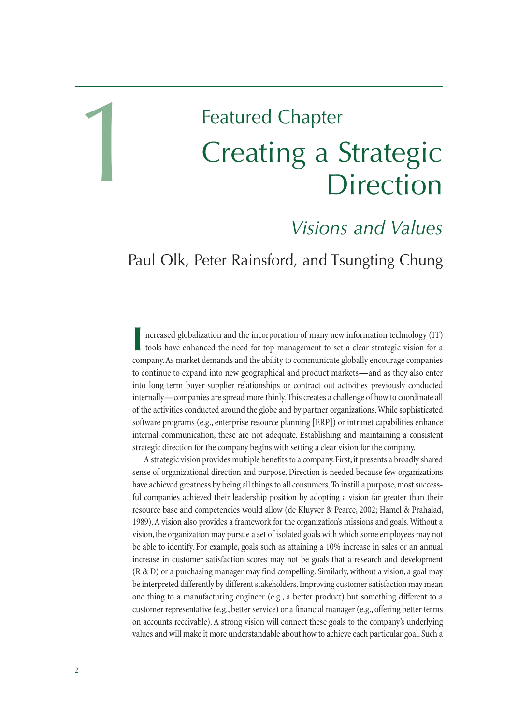# Featured Chapter<br>Creating a ! Creating a Strategic Direction

## *Visions and Values*

Paul Olk, Peter Rainsford, and Tsungting Chung

**I** ncreased globalization and the incorporation of many new information technology (IT) tools have enhanced the need for top management to set a clear strategic vision for a company. As market demands and the ability to communicate globally encourage companies to continue to expand into new geographical and product markets—and as they also enter into long-term buyer-supplier relationships or contract out activities previously conducted internally**—**companies are spread more thinly. This creates a challenge of how to coordinate all of the activities conducted around the globe and by partner organizations. While sophisticated software programs (e.g., enterprise resource planning [ERP]) or intranet capabilities enhance internal communication, these are not adequate. Establishing and maintaining a consistent strategic direction for the company begins with setting a clear vision for the company.

A strategic vision provides multiple benefits to a company. First, it presents a broadly shared sense of organizational direction and purpose. Direction is needed because few organizations have achieved greatness by being all things to all consumers. To instill a purpose, most successful companies achieved their leadership position by adopting a vision far greater than their resource base and competencies would allow (de Kluyver & Pearce, 2002; Hamel & Prahalad, 1989). A vision also provides a framework for the organization's missions and goals. Without a vision, the organization may pursue a set of isolated goals with which some employees may not be able to identify. For example, goals such as attaining a 10% increase in sales or an annual increase in customer satisfaction scores may not be goals that a research and development (R & D) or a purchasing manager may find compelling. Similarly, without a vision, a goal may be interpreted differently by different stakeholders. Improving customer satisfaction may mean one thing to a manufacturing engineer (e.g., a better product) but something different to a customer representative (e.g., better service) or a financial manager (e.g., offering better terms on accounts receivable). A strong vision will connect these goals to the company's underlying values and will make it more understandable about how to achieve each particular goal. Such a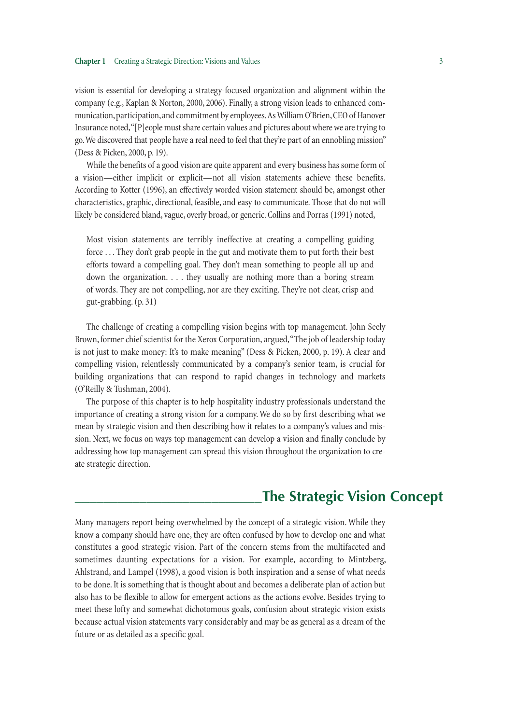#### **Chapter 1** Creating a Strategic Direction: Visions and Values 3

vision is essential for developing a strategy-focused organization and alignment within the company (e.g., Kaplan & Norton, 2000, 2006). Finally, a strong vision leads to enhanced communication, participation, and commitment by employees. As William O'Brien, CEO of Hanover Insurance noted, "[P]eople must share certain values and pictures about where we are trying to go. We discovered that people have a real need to feel that they're part of an ennobling mission" (Dess & Picken, 2000, p. 19).

While the benefits of a good vision are quite apparent and every business has some form of a vision—either implicit or explicit—not all vision statements achieve these benefits. According to Kotter (1996), an effectively worded vision statement should be, amongst other characteristics, graphic, directional, feasible, and easy to communicate. Those that do not will likely be considered bland, vague, overly broad, or generic. Collins and Porras (1991) noted,

Most vision statements are terribly ineffective at creating a compelling guiding force . . . They don't grab people in the gut and motivate them to put forth their best efforts toward a compelling goal. They don't mean something to people all up and down the organization. . . . they usually are nothing more than a boring stream of words. They are not compelling, nor are they exciting. They're not clear, crisp and gut-grabbing. (p. 31)

The challenge of creating a compelling vision begins with top management. John Seely Brown, former chief scientist for the Xerox Corporation, argued, "The job of leadership today is not just to make money: It's to make meaning" (Dess & Picken, 2000, p. 19). A clear and compelling vision, relentlessly communicated by a company's senior team, is crucial for building organizations that can respond to rapid changes in technology and markets (O'Reilly & Tushman, 2004).

The purpose of this chapter is to help hospitality industry professionals understand the importance of creating a strong vision for a company. We do so by first describing what we mean by strategic vision and then describing how it relates to a company's values and mission. Next, we focus on ways top management can develop a vision and finally conclude by addressing how top management can spread this vision throughout the organization to create strategic direction.

## **\_\_\_\_\_\_\_\_\_\_\_\_\_\_\_\_\_\_\_\_\_\_\_\_\_\_The Strategic Vision Concept**

Many managers report being overwhelmed by the concept of a strategic vision. While they know a company should have one, they are often confused by how to develop one and what constitutes a good strategic vision. Part of the concern stems from the multifaceted and sometimes daunting expectations for a vision. For example, according to Mintzberg, Ahlstrand, and Lampel (1998), a good vision is both inspiration and a sense of what needs to be done. It is something that is thought about and becomes a deliberate plan of action but also has to be flexible to allow for emergent actions as the actions evolve. Besides trying to meet these lofty and somewhat dichotomous goals, confusion about strategic vision exists because actual vision statements vary considerably and may be as general as a dream of the future or as detailed as a specific goal.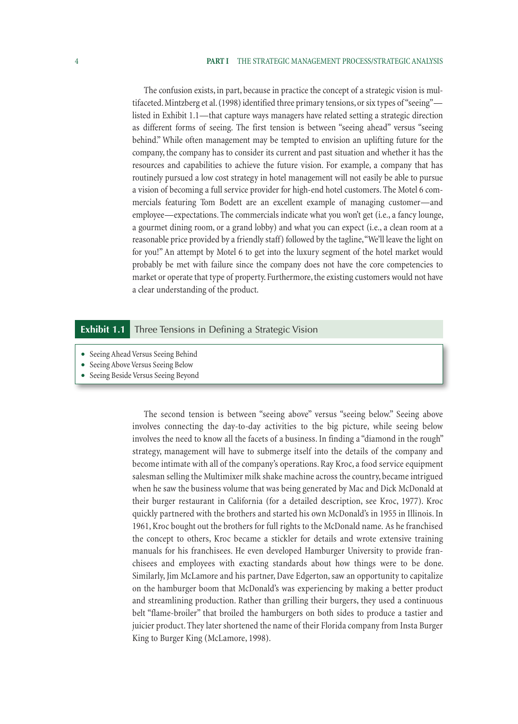The confusion exists, in part, because in practice the concept of a strategic vision is multifaceted. Mintzberg et al. (1998) identified three primary tensions, or six types of "seeing" listed in Exhibit 1.1—that capture ways managers have related setting a strategic direction as different forms of seeing. The first tension is between "seeing ahead" versus "seeing behind." While often management may be tempted to envision an uplifting future for the company, the company has to consider its current and past situation and whether it has the resources and capabilities to achieve the future vision. For example, a company that has routinely pursued a low cost strategy in hotel management will not easily be able to pursue a vision of becoming a full service provider for high-end hotel customers. The Motel 6 commercials featuring Tom Bodett are an excellent example of managing customer—and employee—expectations. The commercials indicate what you won't get (i.e., a fancy lounge, a gourmet dining room, or a grand lobby) and what you can expect (i.e., a clean room at a reasonable price provided by a friendly staff) followed by the tagline, "We'll leave the light on for you!" An attempt by Motel 6 to get into the luxury segment of the hotel market would probably be met with failure since the company does not have the core competencies to market or operate that type of property. Furthermore, the existing customers would not have a clear understanding of the product.

#### **Exhibit 1.1** Three Tensions in Defining a Strategic Vision

- Seeing Ahead Versus Seeing Behind
- Seeing Above Versus Seeing Below
- Seeing Beside Versus Seeing Beyond

The second tension is between "seeing above" versus "seeing below." Seeing above involves connecting the day-to-day activities to the big picture, while seeing below involves the need to know all the facets of a business. In finding a "diamond in the rough" strategy, management will have to submerge itself into the details of the company and become intimate with all of the company's operations. Ray Kroc, a food service equipment salesman selling the Multimixer milk shake machine across the country, became intrigued when he saw the business volume that was being generated by Mac and Dick McDonald at their burger restaurant in California (for a detailed description, see Kroc, 1977). Kroc quickly partnered with the brothers and started his own McDonald's in 1955 in Illinois. In 1961, Kroc bought out the brothers for full rights to the McDonald name. As he franchised the concept to others, Kroc became a stickler for details and wrote extensive training manuals for his franchisees. He even developed Hamburger University to provide franchisees and employees with exacting standards about how things were to be done. Similarly, Jim McLamore and his partner, Dave Edgerton, saw an opportunity to capitalize on the hamburger boom that McDonald's was experiencing by making a better product and streamlining production. Rather than grilling their burgers, they used a continuous belt "flame-broiler" that broiled the hamburgers on both sides to produce a tastier and juicier product. They later shortened the name of their Florida company from Insta Burger King to Burger King (McLamore, 1998).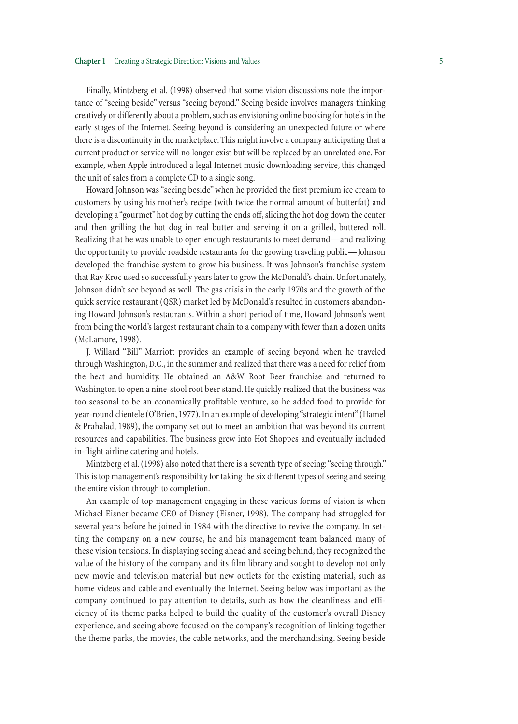Finally, Mintzberg et al. (1998) observed that some vision discussions note the importance of "seeing beside" versus "seeing beyond." Seeing beside involves managers thinking creatively or differently about a problem, such as envisioning online booking for hotels in the early stages of the Internet. Seeing beyond is considering an unexpected future or where there is a discontinuity in the marketplace. This might involve a company anticipating that a current product or service will no longer exist but will be replaced by an unrelated one. For example, when Apple introduced a legal Internet music downloading service, this changed the unit of sales from a complete CD to a single song.

Howard Johnson was "seeing beside" when he provided the first premium ice cream to customers by using his mother's recipe (with twice the normal amount of butterfat) and developing a "gourmet" hot dog by cutting the ends off, slicing the hot dog down the center and then grilling the hot dog in real butter and serving it on a grilled, buttered roll. Realizing that he was unable to open enough restaurants to meet demand—and realizing the opportunity to provide roadside restaurants for the growing traveling public—Johnson developed the franchise system to grow his business. It was Johnson's franchise system that Ray Kroc used so successfully years later to grow the McDonald's chain. Unfortunately, Johnson didn't see beyond as well. The gas crisis in the early 1970s and the growth of the quick service restaurant (QSR) market led by McDonald's resulted in customers abandoning Howard Johnson's restaurants. Within a short period of time, Howard Johnson's went from being the world's largest restaurant chain to a company with fewer than a dozen units (McLamore, 1998).

J. Willard "Bill" Marriott provides an example of seeing beyond when he traveled through Washington, D.C., in the summer and realized that there was a need for relief from the heat and humidity. He obtained an A&W Root Beer franchise and returned to Washington to open a nine-stool root beer stand. He quickly realized that the business was too seasonal to be an economically profitable venture, so he added food to provide for year-round clientele (O'Brien, 1977). In an example of developing "strategic intent" (Hamel & Prahalad, 1989), the company set out to meet an ambition that was beyond its current resources and capabilities. The business grew into Hot Shoppes and eventually included in-flight airline catering and hotels.

Mintzberg et al. (1998) also noted that there is a seventh type of seeing: "seeing through." This is top management's responsibility for taking the six different types of seeing and seeing the entire vision through to completion.

An example of top management engaging in these various forms of vision is when Michael Eisner became CEO of Disney (Eisner, 1998)*.* The company had struggled for several years before he joined in 1984 with the directive to revive the company. In setting the company on a new course, he and his management team balanced many of these vision tensions. In displaying seeing ahead and seeing behind, they recognized the value of the history of the company and its film library and sought to develop not only new movie and television material but new outlets for the existing material, such as home videos and cable and eventually the Internet. Seeing below was important as the company continued to pay attention to details, such as how the cleanliness and efficiency of its theme parks helped to build the quality of the customer's overall Disney experience, and seeing above focused on the company's recognition of linking together the theme parks, the movies, the cable networks, and the merchandising. Seeing beside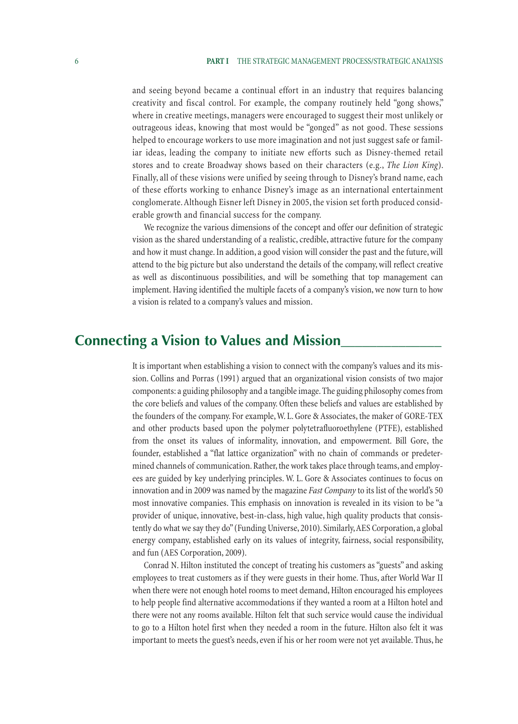and seeing beyond became a continual effort in an industry that requires balancing creativity and fiscal control. For example, the company routinely held "gong shows," where in creative meetings, managers were encouraged to suggest their most unlikely or outrageous ideas, knowing that most would be "gonged" as not good. These sessions helped to encourage workers to use more imagination and not just suggest safe or familiar ideas, leading the company to initiate new efforts such as Disney-themed retail stores and to create Broadway shows based on their characters (e.g., *The Lion King*). Finally, all of these visions were unified by seeing through to Disney's brand name, each of these efforts working to enhance Disney's image as an international entertainment conglomerate. Although Eisner left Disney in 2005, the vision set forth produced considerable growth and financial success for the company.

We recognize the various dimensions of the concept and offer our definition of strategic vision as the shared understanding of a realistic, credible, attractive future for the company and how it must change. In addition, a good vision will consider the past and the future, will attend to the big picture but also understand the details of the company, will reflect creative as well as discontinuous possibilities, and will be something that top management can implement. Having identified the multiple facets of a company's vision, we now turn to how a vision is related to a company's values and mission.

## **Connecting a Vision to Values and Mission\_\_\_\_\_\_\_\_\_\_\_\_\_\_**

It is important when establishing a vision to connect with the company's values and its mission. Collins and Porras (1991) argued that an organizational vision consists of two major components: a guiding philosophy and a tangible image. The guiding philosophy comes from the core beliefs and values of the company. Often these beliefs and values are established by the founders of the company. For example, W. L. Gore & Associates, the maker of GORE-TEX and other products based upon the polymer polytetrafluoroethylene (PTFE), established from the onset its values of informality, innovation, and empowerment. Bill Gore, the founder, established a "flat lattice organization" with no chain of commands or predetermined channels of communication. Rather, the work takes place through teams, and employees are guided by key underlying principles. W. L. Gore & Associates continues to focus on innovation and in 2009 was named by the magazine *Fast Company* to its list of the world's 50 most innovative companies. This emphasis on innovation is revealed in its vision to be "a provider of unique, innovative, best-in-class, high value, high quality products that consistently do what we say they do" (Funding Universe, 2010). Similarly, AES Corporation, a global energy company, established early on its values of integrity, fairness, social responsibility, and fun (AES Corporation, 2009).

Conrad N. Hilton instituted the concept of treating his customers as "guests" and asking employees to treat customers as if they were guests in their home. Thus, after World War II when there were not enough hotel rooms to meet demand, Hilton encouraged his employees to help people find alternative accommodations if they wanted a room at a Hilton hotel and there were not any rooms available. Hilton felt that such service would cause the individual to go to a Hilton hotel first when they needed a room in the future. Hilton also felt it was important to meets the guest's needs, even if his or her room were not yet available. Thus, he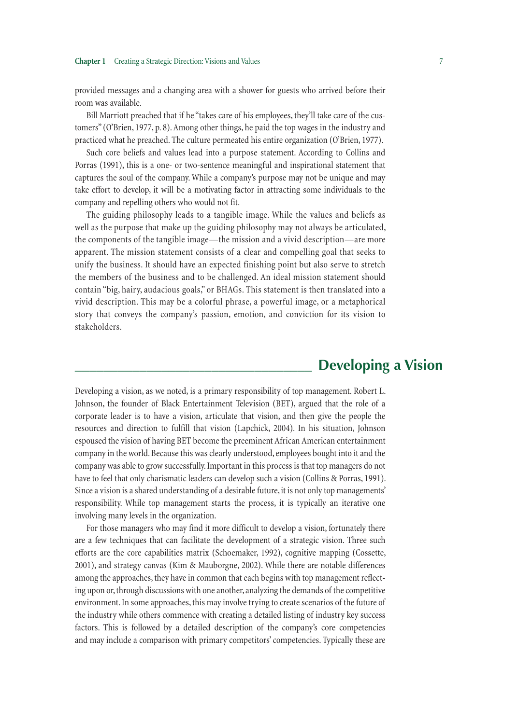#### **Chapter 1** Creating a Strategic Direction: Visions and Values 7

provided messages and a changing area with a shower for guests who arrived before their room was available.

Bill Marriott preached that if he "takes care of his employees, they'll take care of the customers" (O'Brien, 1977, p. 8). Among other things, he paid the top wages in the industry and practiced what he preached. The culture permeated his entire organization (O'Brien, 1977).

Such core beliefs and values lead into a purpose statement. According to Collins and Porras (1991), this is a one- or two-sentence meaningful and inspirational statement that captures the soul of the company. While a company's purpose may not be unique and may take effort to develop, it will be a motivating factor in attracting some individuals to the company and repelling others who would not fit.

The guiding philosophy leads to a tangible image. While the values and beliefs as well as the purpose that make up the guiding philosophy may not always be articulated, the components of the tangible image—the mission and a vivid description—are more apparent. The mission statement consists of a clear and compelling goal that seeks to unify the business. It should have an expected finishing point but also serve to stretch the members of the business and to be challenged. An ideal mission statement should contain "big, hairy, audacious goals," or BHAGs. This statement is then translated into a vivid description. This may be a colorful phrase, a powerful image, or a metaphorical story that conveys the company's passion, emotion, and conviction for its vision to stakeholders.

## **\_\_\_\_\_\_\_\_\_\_\_\_\_\_\_\_\_\_\_\_\_\_\_\_\_\_\_\_\_\_\_\_\_ Developing a Vision**

Developing a vision, as we noted, is a primary responsibility of top management. Robert L. Johnson, the founder of Black Entertainment Television (BET), argued that the role of a corporate leader is to have a vision, articulate that vision, and then give the people the resources and direction to fulfill that vision (Lapchick, 2004). In his situation, Johnson espoused the vision of having BET become the preeminent African American entertainment company in the world. Because this was clearly understood, employees bought into it and the company was able to grow successfully. Important in this process is that top managers do not have to feel that only charismatic leaders can develop such a vision (Collins & Porras, 1991). Since a vision is a shared understanding of a desirable future, it is not only top managements' responsibility. While top management starts the process, it is typically an iterative one involving many levels in the organization.

For those managers who may find it more difficult to develop a vision, fortunately there are a few techniques that can facilitate the development of a strategic vision. Three such efforts are the core capabilities matrix (Schoemaker, 1992), cognitive mapping (Cossette, 2001), and strategy canvas (Kim & Mauborgne, 2002). While there are notable differences among the approaches, they have in common that each begins with top management reflecting upon or, through discussions with one another, analyzing the demands of the competitive environment. In some approaches, this may involve trying to create scenarios of the future of the industry while others commence with creating a detailed listing of industry key success factors. This is followed by a detailed description of the company's core competencies and may include a comparison with primary competitors' competencies. Typically these are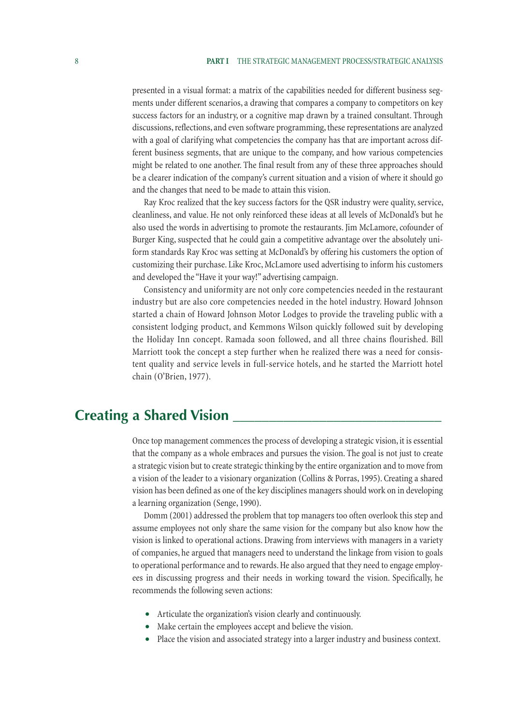presented in a visual format: a matrix of the capabilities needed for different business segments under different scenarios, a drawing that compares a company to competitors on key success factors for an industry, or a cognitive map drawn by a trained consultant. Through discussions, reflections, and even software programming, these representations are analyzed with a goal of clarifying what competencies the company has that are important across different business segments, that are unique to the company, and how various competencies might be related to one another. The final result from any of these three approaches should be a clearer indication of the company's current situation and a vision of where it should go and the changes that need to be made to attain this vision.

Ray Kroc realized that the key success factors for the QSR industry were quality, service, cleanliness, and value. He not only reinforced these ideas at all levels of McDonald's but he also used the words in advertising to promote the restaurants. Jim McLamore, cofounder of Burger King, suspected that he could gain a competitive advantage over the absolutely uniform standards Ray Kroc was setting at McDonald's by offering his customers the option of customizing their purchase. Like Kroc, McLamore used advertising to inform his customers and developed the "Have it your way!" advertising campaign.

Consistency and uniformity are not only core competencies needed in the restaurant industry but are also core competencies needed in the hotel industry. Howard Johnson started a chain of Howard Johnson Motor Lodges to provide the traveling public with a consistent lodging product, and Kemmons Wilson quickly followed suit by developing the Holiday Inn concept. Ramada soon followed, and all three chains flourished. Bill Marriott took the concept a step further when he realized there was a need for consistent quality and service levels in full-service hotels, and he started the Marriott hotel chain (O'Brien, 1977).

#### **Creating a Shared Vision \_\_\_\_\_\_\_\_\_\_\_\_\_\_\_\_\_\_\_\_\_\_\_\_\_\_\_\_\_**

Once top management commences the process of developing a strategic vision, it is essential that the company as a whole embraces and pursues the vision. The goal is not just to create a strategic vision but to create strategic thinking by the entire organization and to move from a vision of the leader to a visionary organization (Collins & Porras, 1995). Creating a shared vision has been defined as one of the key disciplines managers should work on in developing a learning organization (Senge, 1990).

Domm (2001) addressed the problem that top managers too often overlook this step and assume employees not only share the same vision for the company but also know how the vision is linked to operational actions. Drawing from interviews with managers in a variety of companies, he argued that managers need to understand the linkage from vision to goals to operational performance and to rewards. He also argued that they need to engage employees in discussing progress and their needs in working toward the vision. Specifically, he recommends the following seven actions:

- Articulate the organization's vision clearly and continuously.
- Make certain the employees accept and believe the vision.
- Place the vision and associated strategy into a larger industry and business context.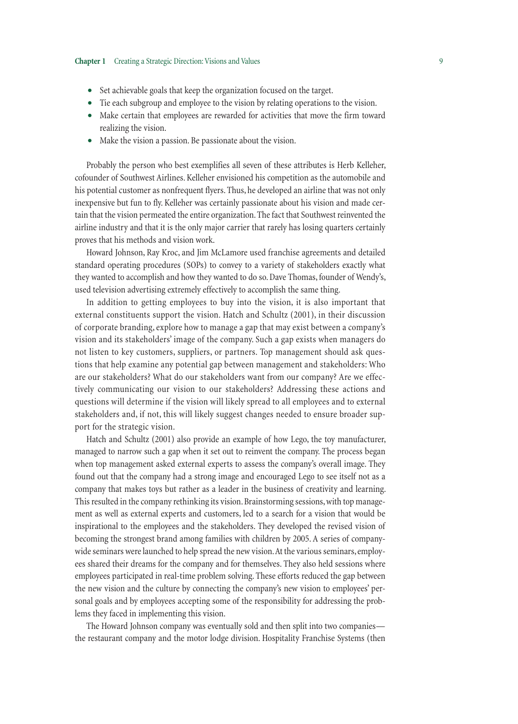#### **Chapter 1** Creating a Strategic Direction: Visions and Values 9

- Set achievable goals that keep the organization focused on the target.
- Tie each subgroup and employee to the vision by relating operations to the vision.
- Make certain that employees are rewarded for activities that move the firm toward realizing the vision.
- Make the vision a passion. Be passionate about the vision.

Probably the person who best exemplifies all seven of these attributes is Herb Kelleher, cofounder of Southwest Airlines. Kelleher envisioned his competition as the automobile and his potential customer as nonfrequent flyers. Thus, he developed an airline that was not only inexpensive but fun to fly. Kelleher was certainly passionate about his vision and made certain that the vision permeated the entire organization. The fact that Southwest reinvented the airline industry and that it is the only major carrier that rarely has losing quarters certainly proves that his methods and vision work.

Howard Johnson, Ray Kroc, and Jim McLamore used franchise agreements and detailed standard operating procedures (SOPs) to convey to a variety of stakeholders exactly what they wanted to accomplish and how they wanted to do so. Dave Thomas, founder of Wendy's, used television advertising extremely effectively to accomplish the same thing.

In addition to getting employees to buy into the vision, it is also important that external constituents support the vision. Hatch and Schultz (2001), in their discussion of corporate branding, explore how to manage a gap that may exist between a company's vision and its stakeholders' image of the company. Such a gap exists when managers do not listen to key customers, suppliers, or partners. Top management should ask questions that help examine any potential gap between management and stakeholders: Who are our stakeholders? What do our stakeholders want from our company? Are we effectively communicating our vision to our stakeholders? Addressing these actions and questions will determine if the vision will likely spread to all employees and to external stakeholders and, if not, this will likely suggest changes needed to ensure broader support for the strategic vision.

Hatch and Schultz (2001) also provide an example of how Lego, the toy manufacturer, managed to narrow such a gap when it set out to reinvent the company. The process began when top management asked external experts to assess the company's overall image. They found out that the company had a strong image and encouraged Lego to see itself not as a company that makes toys but rather as a leader in the business of creativity and learning. This resulted in the company rethinking its vision. Brainstorming sessions, with top management as well as external experts and customers, led to a search for a vision that would be inspirational to the employees and the stakeholders. They developed the revised vision of becoming the strongest brand among families with children by 2005. A series of companywide seminars were launched to help spread the new vision. At the various seminars, employees shared their dreams for the company and for themselves. They also held sessions where employees participated in real-time problem solving. These efforts reduced the gap between the new vision and the culture by connecting the company's new vision to employees' personal goals and by employees accepting some of the responsibility for addressing the problems they faced in implementing this vision.

The Howard Johnson company was eventually sold and then split into two companies the restaurant company and the motor lodge division. Hospitality Franchise Systems (then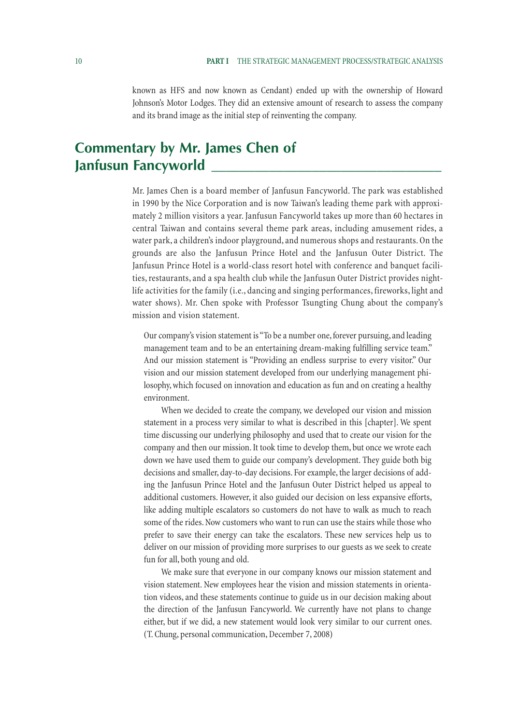known as HFS and now known as Cendant) ended up with the ownership of Howard Johnson's Motor Lodges. They did an extensive amount of research to assess the company and its brand image as the initial step of reinventing the company.

## **Commentary by Mr. James Chen of Janfusun Fancyworld \_\_\_\_\_\_\_\_\_\_\_\_\_\_\_\_\_\_\_\_\_\_\_\_\_\_\_\_\_\_\_\_**

Mr. James Chen is a board member of Janfusun Fancyworld. The park was established in 1990 by the Nice Corporation and is now Taiwan's leading theme park with approximately 2 million visitors a year. Janfusun Fancyworld takes up more than 60 hectares in central Taiwan and contains several theme park areas, including amusement rides, a water park, a children's indoor playground, and numerous shops and restaurants. On the grounds are also the Janfusun Prince Hotel and the Janfusun Outer District. The Janfusun Prince Hotel is a world-class resort hotel with conference and banquet facilities, restaurants, and a spa health club while the Janfusun Outer District provides nightlife activities for the family (i.e., dancing and singing performances, fireworks, light and water shows). Mr. Chen spoke with Professor Tsungting Chung about the company's mission and vision statement.

Our company's vision statement is "To be a number one, forever pursuing, and leading management team and to be an entertaining dream-making fulfilling service team." And our mission statement is "Providing an endless surprise to every visitor." Our vision and our mission statement developed from our underlying management philosophy, which focused on innovation and education as fun and on creating a healthy environment.

When we decided to create the company, we developed our vision and mission statement in a process very similar to what is described in this [chapter]. We spent time discussing our underlying philosophy and used that to create our vision for the company and then our mission. It took time to develop them, but once we wrote each down we have used them to guide our company's development. They guide both big decisions and smaller, day-to-day decisions. For example, the larger decisions of adding the Janfusun Prince Hotel and the Janfusun Outer District helped us appeal to additional customers. However, it also guided our decision on less expansive efforts, like adding multiple escalators so customers do not have to walk as much to reach some of the rides. Now customers who want to run can use the stairs while those who prefer to save their energy can take the escalators. These new services help us to deliver on our mission of providing more surprises to our guests as we seek to create fun for all, both young and old.

We make sure that everyone in our company knows our mission statement and vision statement. New employees hear the vision and mission statements in orientation videos, and these statements continue to guide us in our decision making about the direction of the Janfusun Fancyworld. We currently have not plans to change either, but if we did, a new statement would look very similar to our current ones. (T. Chung, personal communication, December 7, 2008)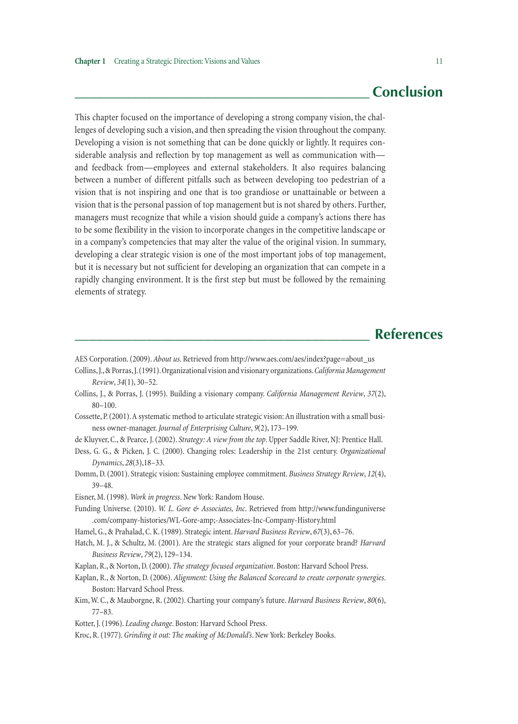#### This chapter focused on the importance of developing a strong company vision, the challenges of developing such a vision, and then spreading the vision throughout the company. Developing a vision is not something that can be done quickly or lightly. It requires considerable analysis and reflection by top management as well as communication with and feedback from—employees and external stakeholders. It also requires balancing between a number of different pitfalls such as between developing too pedestrian of a vision that is not inspiring and one that is too grandiose or unattainable or between a vision that is the personal passion of top management but is not shared by others. Further, managers must recognize that while a vision should guide a company's actions there has to be some flexibility in the vision to incorporate changes in the competitive landscape or in a company's competencies that may alter the value of the original vision. In summary, developing a clear strategic vision is one of the most important jobs of top management, but it is necessary but not sufficient for developing an organization that can compete in a rapidly changing environment. It is the first step but must be followed by the remaining elements of strategy.

## **\_\_\_\_\_\_\_\_\_\_\_\_\_\_\_\_\_\_\_\_\_\_\_\_\_\_\_\_\_\_\_\_\_\_\_\_\_\_\_\_\_ References**

- AES Corporation. (2009). *About us*. Retrieved from http://www.aes.com/aes/index?page=about\_us Collins, J., & Porras, J. (1991). Organizational vision and visionary organizations. *California Management Review*, *34*(1), 30–52.
- Collins, J., & Porras, J. (1995). Building a visionary company. *California Management Review*, *37*(2), 80–100.
- Cossette, P. (2001). A systematic method to articulate strategic vision: An illustration with a small business owner-manager. *Journal of Enterprising Culture*, *9*(2), 173–199.
- de Kluyver, C., & Pearce, J. (2002). *Strategy: A view from the top*. Upper Saddle River, NJ: Prentice Hall.
- Dess, G. G., & Picken, J. C. (2000). Changing roles: Leadership in the 21st century. *Organizational Dynamics*, *28*(3),18–33.
- Domm, D. (2001). Strategic vision: Sustaining employee commitment. *Business Strategy Review*, *12*(4), 39–48.

Eisner, M. (1998). *Work in progress*. New York: Random House.

- Funding Universe. (2010). *W. L. Gore & Associates, Inc*. Retrieved from http://www.fundinguniverse .com/company-histories/WL-Gore-amp;-Associates-Inc-Company-History.html
- Hamel, G., & Prahalad, C. K. (1989). Strategic intent. *Harvard Business Review*, *67*(3), 63–76.
- Hatch, M. J., & Schultz, M. (2001). Are the strategic stars aligned for your corporate brand? *Harvard Business Review*, *79*(2), 129–134.
- Kaplan, R., & Norton, D. (2000). *The strategy focused organization*. Boston: Harvard School Press.
- Kaplan, R., & Norton, D. (2006). *Alignment: Using the Balanced Scorecard to create corporate synergies*. Boston: Harvard School Press.
- Kim, W. C., & Mauborgne, R. (2002). Charting your company's future. *Harvard Business Review*, *80*(6), 77–83.
- Kotter, J. (1996). *Leading change*. Boston: Harvard School Press.
- Kroc, R. (1977). *Grinding it out: The making of McDonald's*. New York: Berkeley Books.

**\_\_\_\_\_\_\_\_\_\_\_\_\_\_\_\_\_\_\_\_\_\_\_\_\_\_\_\_\_\_\_\_\_\_\_\_\_\_\_\_\_ Conclusion**